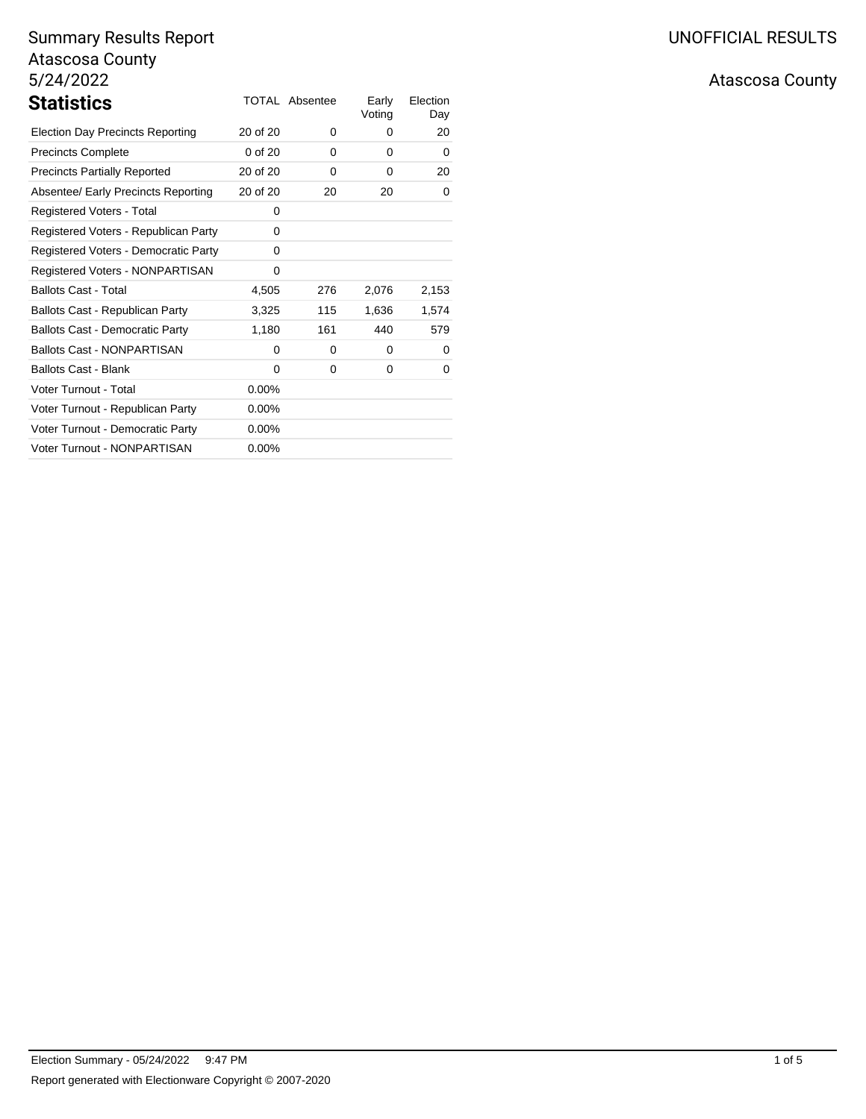|             |          | Early<br>Voting | Election<br>Day |
|-------------|----------|-----------------|-----------------|
| 20 of 20    | 0        | 0               | 20              |
| $0$ of $20$ | 0        | 0               | 0               |
| 20 of 20    | 0        | 0               | 20              |
| 20 of 20    | 20       | 20              | 0               |
| $\Omega$    |          |                 |                 |
| 0           |          |                 |                 |
| 0           |          |                 |                 |
| 0           |          |                 |                 |
| 4,505       | 276      | 2,076           | 2,153           |
| 3,325       | 115      | 1,636           | 1,574           |
| 1,180       | 161      | 440             | 579             |
| $\Omega$    | $\Omega$ | 0               | 0               |
| $\Omega$    | 0        | 0               | 0               |
| 0.00%       |          |                 |                 |
| $0.00\%$    |          |                 |                 |
| $0.00\%$    |          |                 |                 |
| 0.00%       |          |                 |                 |
|             |          |                 |                 |

# Atascosa County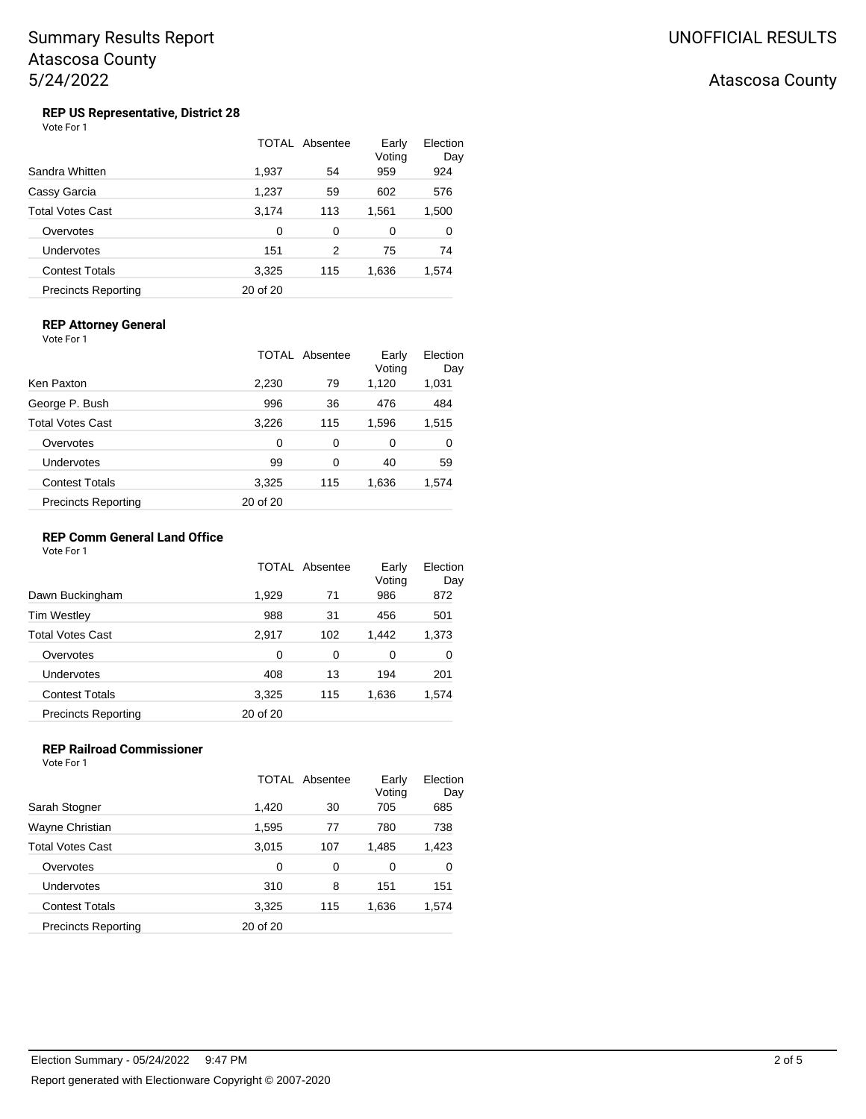## Atascosa County

# **REP US Representative, District 28**<br>Vote For 1

|                            | TOTAL    | Absentee | Early<br>Voting | Election<br>Day |
|----------------------------|----------|----------|-----------------|-----------------|
| Sandra Whitten             | 1,937    | 54       | 959             | 924             |
| Cassy Garcia               | 1,237    | 59       | 602             | 576             |
| Total Votes Cast           | 3,174    | 113      | 1,561           | 1,500           |
| Overvotes                  | $\Omega$ | $\Omega$ | 0               | 0               |
| Undervotes                 | 151      | 2        | 75              | 74              |
| <b>Contest Totals</b>      | 3,325    | 115      | 1,636           | 1,574           |
| <b>Precincts Reporting</b> | 20 of 20 |          |                 |                 |

## **REP Attorney General**

Vote For 1

|                            | TOTAL    | Absentee | Early<br>Voting | Election<br>Day |
|----------------------------|----------|----------|-----------------|-----------------|
| Ken Paxton                 | 2,230    | 79       | 1,120           | 1,031           |
| George P. Bush             | 996      | 36       | 476             | 484             |
| Total Votes Cast           | 3,226    | 115      | 1,596           | 1,515           |
| Overvotes                  | $\Omega$ | $\Omega$ | 0               | 0               |
| Undervotes                 | 99       | 0        | 40              | 59              |
| <b>Contest Totals</b>      | 3,325    | 115      | 1,636           | 1,574           |
| <b>Precincts Reporting</b> | 20 of 20 |          |                 |                 |

## **REP Comm General Land Office**

Vote For 1

|                            |          | TOTAL Absentee | Early<br>Voting | Election<br>Day |
|----------------------------|----------|----------------|-----------------|-----------------|
| Dawn Buckingham            | 1,929    | 71             | 986             | 872             |
| Tim Westley                | 988      | 31             | 456             | 501             |
| Total Votes Cast           | 2,917    | 102            | 1,442           | 1,373           |
| Overvotes                  | $\Omega$ | 0              | 0               | 0               |
| Undervotes                 | 408      | 13             | 194             | 201             |
| <b>Contest Totals</b>      | 3,325    | 115            | 1,636           | 1,574           |
| <b>Precincts Reporting</b> | 20 of 20 |                |                 |                 |

### **REP Railroad Commissioner** Vote For 1

|                            |          | TOTAL Absentee | Early<br>Voting | Election<br>Day |
|----------------------------|----------|----------------|-----------------|-----------------|
| Sarah Stogner              | 1,420    | 30             | 705             | 685             |
| Wayne Christian            | 1,595    | 77             | 780             | 738             |
| Total Votes Cast           | 3,015    | 107            | 1,485           | 1,423           |
| Overvotes                  | 0        | 0              | 0               | 0               |
| Undervotes                 | 310      | 8              | 151             | 151             |
| <b>Contest Totals</b>      | 3,325    | 115            | 1,636           | 1,574           |
| <b>Precincts Reporting</b> | 20 of 20 |                |                 |                 |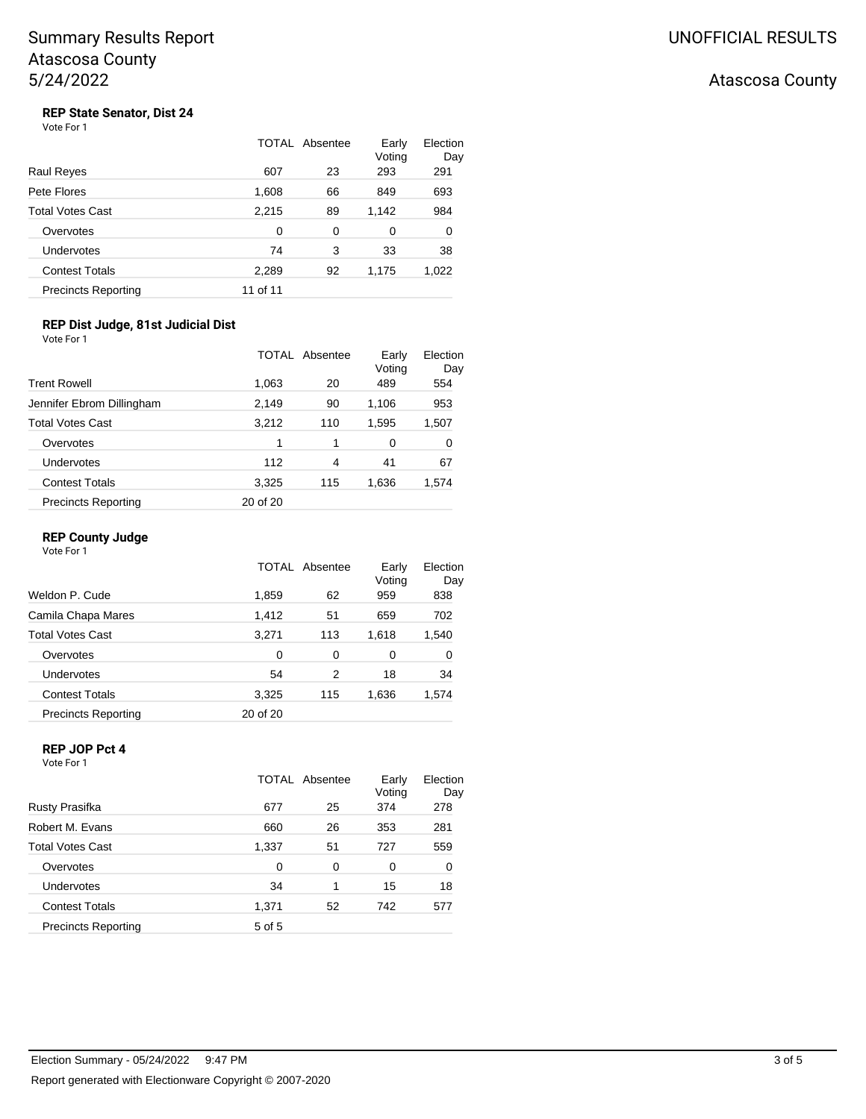## Atascosa County

# **REP State Senator, Dist 24**<br>Vote For 1

|                            |          | TOTAL Absentee | Early<br>Voting | Election<br>Day |
|----------------------------|----------|----------------|-----------------|-----------------|
| Raul Reyes                 | 607      | 23             | 293             | 291             |
| Pete Flores                | 1,608    | 66             | 849             | 693             |
| Total Votes Cast           | 2,215    | 89             | 1,142           | 984             |
| Overvotes                  | 0        | $\Omega$       | 0               | 0               |
| Undervotes                 | 74       | 3              | 33              | 38              |
| <b>Contest Totals</b>      | 2,289    | 92             | 1,175           | 1,022           |
| <b>Precincts Reporting</b> | 11 of 11 |                |                 |                 |

### **REP Dist Judge, 81st Judicial Dist** Vote For 1

|                            |          | TOTAL Absentee | Early<br>Voting | Election<br>Day |
|----------------------------|----------|----------------|-----------------|-----------------|
| <b>Trent Rowell</b>        | 1,063    | 20             | 489             | 554             |
| Jennifer Ebrom Dillingham  | 2,149    | 90             | 1,106           | 953             |
| <b>Total Votes Cast</b>    | 3,212    | 110            | 1,595           | 1,507           |
| Overvotes                  | 1        | 1              | 0               | 0               |
| <b>Undervotes</b>          | 112      | 4              | 41              | 67              |
| <b>Contest Totals</b>      | 3,325    | 115            | 1,636           | 1,574           |
| <b>Precincts Reporting</b> | 20 of 20 |                |                 |                 |

## **REP County Judge**

Vote For 1

|                            | TOTAL    | Absentee | Early<br>Voting | Election<br>Day |
|----------------------------|----------|----------|-----------------|-----------------|
| Weldon P. Cude             | 1,859    | 62       | 959             | 838             |
| Camila Chapa Mares         | 1,412    | 51       | 659             | 702             |
| <b>Total Votes Cast</b>    | 3,271    | 113      | 1,618           | 1,540           |
| Overvotes                  | $\Omega$ | 0        | 0               | 0               |
| Undervotes                 | 54       | 2        | 18              | 34              |
| <b>Contest Totals</b>      | 3,325    | 115      | 1,636           | 1,574           |
| <b>Precincts Reporting</b> | 20 of 20 |          |                 |                 |

## **REP JOP Pct 4**

Vote For 1

|                            |        | TOTAL Absentee | Early<br>Voting | Election<br>Day |
|----------------------------|--------|----------------|-----------------|-----------------|
| Rusty Prasifka             | 677    | 25             | 374             | 278             |
| Robert M. Evans            | 660    | 26             | 353             | 281             |
| <b>Total Votes Cast</b>    | 1,337  | 51             | 727             | 559             |
| Overvotes                  | 0      | 0              | 0               | 0               |
| Undervotes                 | 34     | 1              | 15              | 18              |
| <b>Contest Totals</b>      | 1,371  | 52             | 742             | 577             |
| <b>Precincts Reporting</b> | 5 of 5 |                |                 |                 |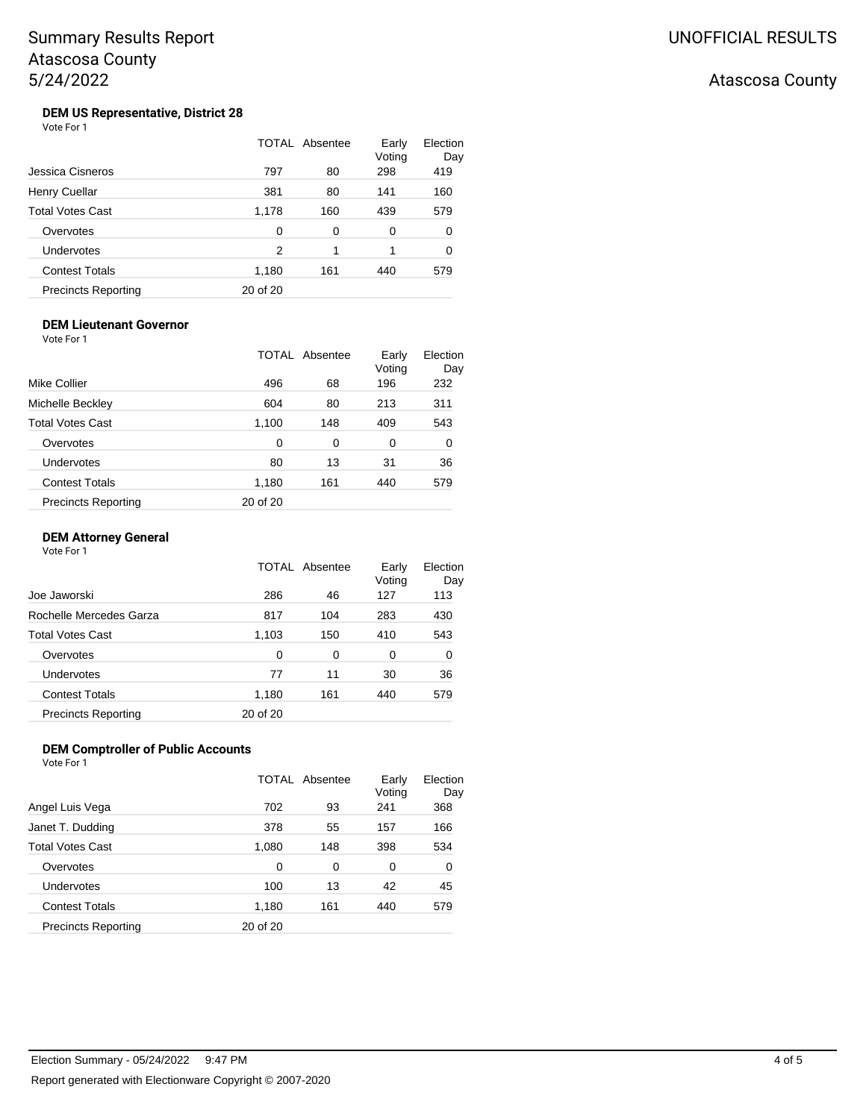## Atascosa County

#### **DEM US Representative, District 28** Vote For 1

|                            |          | TOTAL Absentee | Early<br>Voting | Election<br>Day |
|----------------------------|----------|----------------|-----------------|-----------------|
| Jessica Cisneros           | 797      | 80             | 298             | 419             |
| Henry Cuellar              | 381      | 80             | 141             | 160             |
| <b>Total Votes Cast</b>    | 1,178    | 160            | 439             | 579             |
| Overvotes                  | 0        | 0              | 0               | 0               |
| Undervotes                 | 2        | 1              | 1               | 0               |
| <b>Contest Totals</b>      | 1,180    | 161            | 440             | 579             |
| <b>Precincts Reporting</b> | 20 of 20 |                |                 |                 |

#### **DEM Lieutenant Governor** Vote For 1

|                            |          | TOTAL Absentee | Early<br>Voting | Election<br>Day |
|----------------------------|----------|----------------|-----------------|-----------------|
| Mike Collier               | 496      | 68             | 196             | 232             |
| Michelle Beckley           | 604      | 80             | 213             | 311             |
| Total Votes Cast           | 1,100    | 148            | 409             | 543             |
| Overvotes                  | 0        | 0              | 0               | 0               |
| Undervotes                 | 80       | 13             | 31              | 36              |
| <b>Contest Totals</b>      | 1,180    | 161            | 440             | 579             |
| <b>Precincts Reporting</b> | 20 of 20 |                |                 |                 |

## **DEM Attorney General**

Vote For 1

|                            | TOTAL    | Absentee | Early<br>Voting | Election<br>Day |
|----------------------------|----------|----------|-----------------|-----------------|
| Joe Jaworski               | 286      | 46       | 127             | 113             |
| Rochelle Mercedes Garza    | 817      | 104      | 283             | 430             |
| <b>Total Votes Cast</b>    | 1,103    | 150      | 410             | 543             |
| Overvotes                  | $\Omega$ | 0        | 0               | 0               |
| Undervotes                 | 77       | 11       | 30              | 36              |
| <b>Contest Totals</b>      | 1,180    | 161      | 440             | 579             |
| <b>Precincts Reporting</b> | 20 of 20 |          |                 |                 |

### **DEM Comptroller of Public Accounts** Vote For 1

|                            |          | TOTAL Absentee | Early<br>Voting | Election<br>Day |
|----------------------------|----------|----------------|-----------------|-----------------|
| Angel Luis Vega            | 702      | 93             | 241             | 368             |
| Janet T. Dudding           | 378      | 55             | 157             | 166             |
| <b>Total Votes Cast</b>    | 1,080    | 148            | 398             | 534             |
| Overvotes                  | 0        | 0              | 0               | 0               |
| Undervotes                 | 100      | 13             | 42              | 45              |
| <b>Contest Totals</b>      | 1,180    | 161            | 440             | 579             |
| <b>Precincts Reporting</b> | 20 of 20 |                |                 |                 |